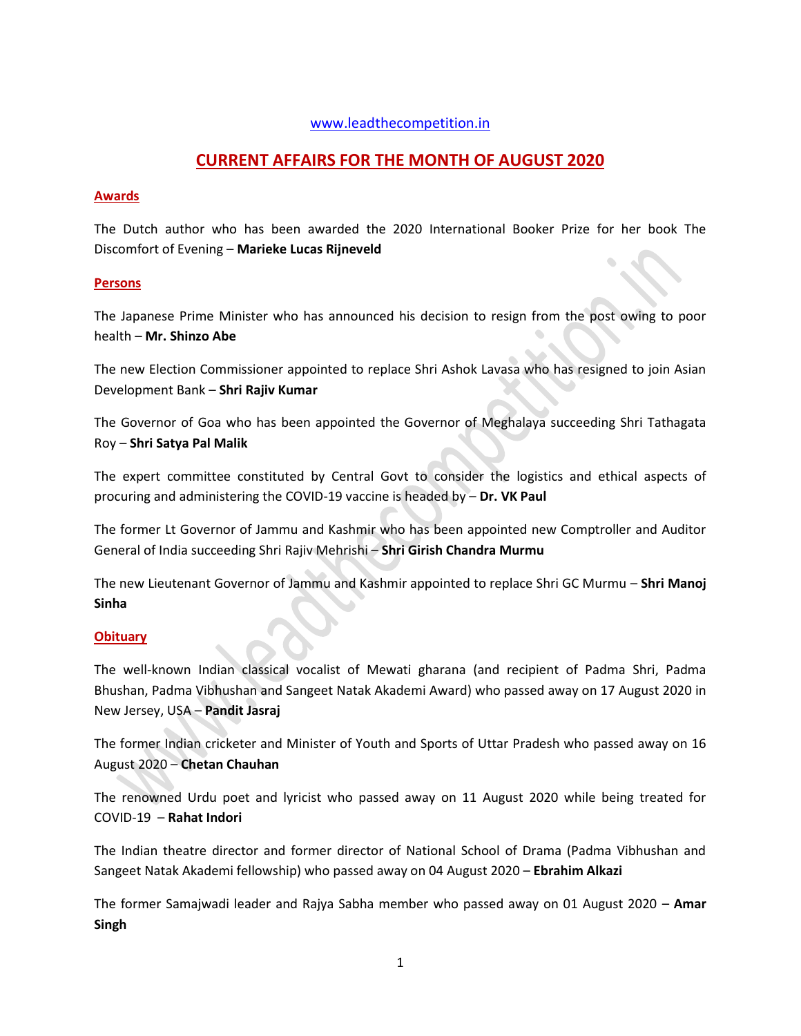## [www.leadthecompetition.in](http://www.leadthecompetition.in/)

## **CURRENT AFFAIRS FOR THE MONTH OF AUGUST 2020**

#### **Awards**

The Dutch author who has been awarded the 2020 International Booker Prize for her book The Discomfort of Evening – **Marieke Lucas Rijneveld**

#### **Persons**

The Japanese Prime Minister who has announced his decision to resign from the post owing to poor health – **Mr. Shinzo Abe**

The new Election Commissioner appointed to replace Shri Ashok Lavasa who has resigned to join Asian Development Bank – **Shri Rajiv Kumar**

The Governor of Goa who has been appointed the Governor of Meghalaya succeeding Shri Tathagata Roy – **Shri Satya Pal Malik**

The expert committee constituted by Central Govt to consider the logistics and ethical aspects of procuring and administering the COVID-19 vaccine is headed by – **Dr. VK Paul**

The former Lt Governor of Jammu and Kashmir who has been appointed new Comptroller and Auditor General of India succeeding Shri Rajiv Mehrishi – **Shri Girish Chandra Murmu**

The new Lieutenant Governor of Jammu and Kashmir appointed to replace Shri GC Murmu – **Shri Manoj Sinha**

## **Obituary**

The well-known Indian classical vocalist of Mewati gharana (and recipient of Padma Shri, Padma Bhushan, Padma Vibhushan and Sangeet Natak Akademi Award) who passed away on 17 August 2020 in New Jersey, USA – **Pandit Jasraj**

The former Indian cricketer and Minister of Youth and Sports of Uttar Pradesh who passed away on 16 August 2020 – **Chetan Chauhan**

The renowned Urdu poet and lyricist who passed away on 11 August 2020 while being treated for COVID-19 – **Rahat Indori**

The Indian theatre director and former director of National School of Drama (Padma Vibhushan and Sangeet Natak Akademi fellowship) who passed away on 04 August 2020 – **Ebrahim Alkazi**

The former Samajwadi leader and Rajya Sabha member who passed away on 01 August 2020 – **Amar Singh**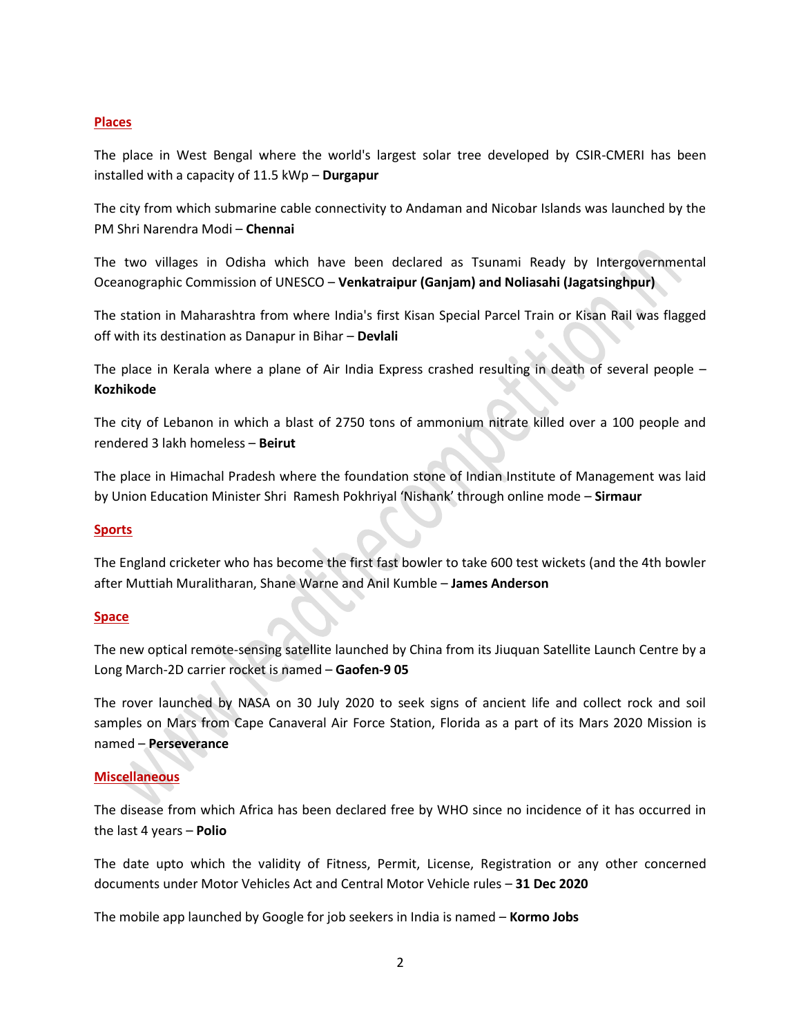#### **Places**

The place in West Bengal where the world's largest solar tree developed by CSIR-CMERI has been installed with a capacity of 11.5 kWp – **Durgapur**

The city from which submarine cable connectivity to Andaman and Nicobar Islands was launched by the PM Shri Narendra Modi – **Chennai**

The two villages in Odisha which have been declared as Tsunami Ready by Intergovernmental Oceanographic Commission of UNESCO – **Venkatraipur (Ganjam) and Noliasahi (Jagatsinghpur)**

The station in Maharashtra from where India's first Kisan Special Parcel Train or Kisan Rail was flagged off with its destination as Danapur in Bihar – **Devlali**

The place in Kerala where a plane of Air India Express crashed resulting in death of several people – **Kozhikode** 

The city of Lebanon in which a blast of 2750 tons of ammonium nitrate killed over a 100 people and rendered 3 lakh homeless – **Beirut**

The place in Himachal Pradesh where the foundation stone of Indian Institute of Management was laid by Union Education Minister Shri Ramesh Pokhriyal 'Nishank' through online mode – **Sirmaur**

#### **Sports**

The England cricketer who has become the first fast bowler to take 600 test wickets (and the 4th bowler after Muttiah Muralitharan, Shane Warne and Anil Kumble – **James Anderson**

#### **Space**

The new optical remote-sensing satellite launched by China from its Jiuquan Satellite Launch Centre by a Long March-2D carrier rocket is named – **Gaofen-9 05** 

The rover launched by NASA on 30 July 2020 to seek signs of ancient life and collect rock and soil samples on Mars from Cape Canaveral Air Force Station, Florida as a part of its Mars 2020 Mission is named – **Perseverance**

#### **Miscellaneous**

The disease from which Africa has been declared free by WHO since no incidence of it has occurred in the last 4 years – **Polio**

The date upto which the validity of Fitness, Permit, License, Registration or any other concerned documents under Motor Vehicles Act and Central Motor Vehicle rules – **31 Dec 2020**

The mobile app launched by Google for job seekers in India is named – **Kormo Jobs**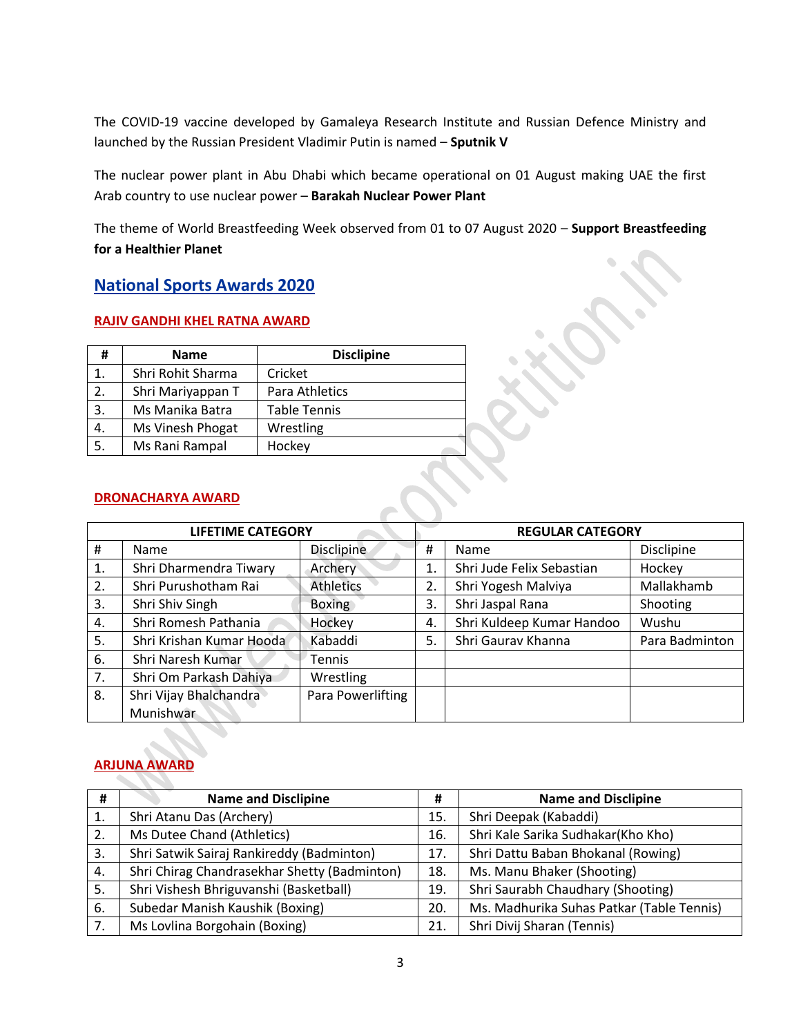The COVID-19 vaccine developed by Gamaleya Research Institute and Russian Defence Ministry and launched by the Russian President Vladimir Putin is named – **Sputnik V**

The nuclear power plant in Abu Dhabi which became operational on 01 August making UAE the first Arab country to use nuclear power – **Barakah Nuclear Power Plant**

The theme of World Breastfeeding Week observed from 01 to 07 August 2020 – **Support Breastfeeding for a Healthier Planet**

## **National Sports Awards 2020**

## **RAJIV GANDHI KHEL RATNA AWARD**

| #  | <b>Name</b>       | <b>Disclipine</b>   |  |  |
|----|-------------------|---------------------|--|--|
| 1. | Shri Rohit Sharma | Cricket             |  |  |
| 2. | Shri Mariyappan T | Para Athletics      |  |  |
| 3. | Ms Manika Batra   | <b>Table Tennis</b> |  |  |
| 4. | Ms Vinesh Phogat  | Wrestling           |  |  |
| 5. | Ms Rani Rampal    | Hockey              |  |  |

## **DRONACHARYA AWARD**

| <b>LIFETIME CATEGORY</b> |                          |                   | <b>REGULAR CATEGORY</b> |                           |                |  |
|--------------------------|--------------------------|-------------------|-------------------------|---------------------------|----------------|--|
| #                        | Name                     | Disclipine        | #                       | Name                      | Disclipine     |  |
| 1.                       | Shri Dharmendra Tiwary   | Archery           | 1.                      | Shri Jude Felix Sebastian | Hockey         |  |
| 2.                       | Shri Purushotham Rai     | <b>Athletics</b>  | 2.                      | Shri Yogesh Malviya       | Mallakhamb     |  |
| 3.                       | Shri Shiv Singh          | <b>Boxing</b>     | 3.                      | Shri Jaspal Rana          | Shooting       |  |
| 4.                       | Shri Romesh Pathania     | Hockey            | 4.                      | Shri Kuldeep Kumar Handoo | Wushu          |  |
| 5.                       | Shri Krishan Kumar Hooda | Kabaddi           | 5.                      | Shri Gaurav Khanna        | Para Badminton |  |
| 6.                       | Shri Naresh Kumar        | Tennis            |                         |                           |                |  |
| 7.                       | Shri Om Parkash Dahiya   | Wrestling         |                         |                           |                |  |
| 8.                       | Shri Vijay Bhalchandra   | Para Powerlifting |                         |                           |                |  |
|                          | Munishwar                |                   |                         |                           |                |  |

## **ARJUNA AWARD**

| #  | <b>Name and Disclipine</b>                   | #   | <b>Name and Disclipine</b>                |
|----|----------------------------------------------|-----|-------------------------------------------|
| 1. | Shri Atanu Das (Archery)                     | 15. | Shri Deepak (Kabaddi)                     |
| 2. | Ms Dutee Chand (Athletics)                   | 16. | Shri Kale Sarika Sudhakar(Kho Kho)        |
| 3. | Shri Satwik Sairaj Rankireddy (Badminton)    | 17. | Shri Dattu Baban Bhokanal (Rowing)        |
| 4. | Shri Chirag Chandrasekhar Shetty (Badminton) | 18. | Ms. Manu Bhaker (Shooting)                |
| 5. | Shri Vishesh Bhriguvanshi (Basketball)       | 19. | Shri Saurabh Chaudhary (Shooting)         |
| 6. | Subedar Manish Kaushik (Boxing)              | 20. | Ms. Madhurika Suhas Patkar (Table Tennis) |
| 7. | Ms Lovlina Borgohain (Boxing)                | 21. | Shri Divij Sharan (Tennis)                |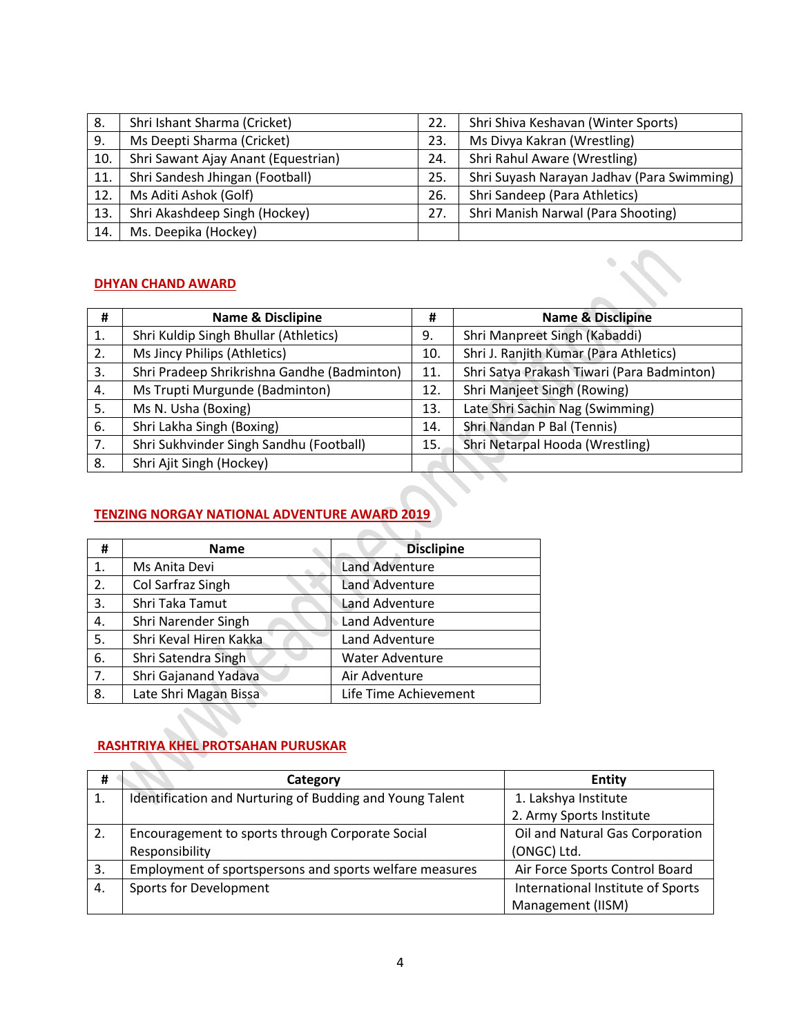| 8.  | Shri Ishant Sharma (Cricket)        | 22. | Shri Shiva Keshavan (Winter Sports)        |
|-----|-------------------------------------|-----|--------------------------------------------|
| 9.  | Ms Deepti Sharma (Cricket)          | 23. | Ms Divya Kakran (Wrestling)                |
| 10. | Shri Sawant Ajay Anant (Equestrian) | 24. | Shri Rahul Aware (Wrestling)               |
| 11. | Shri Sandesh Jhingan (Football)     | 25. | Shri Suyash Narayan Jadhav (Para Swimming) |
| 12. | Ms Aditi Ashok (Golf)               | 26. | Shri Sandeep (Para Athletics)              |
| 13. | Shri Akashdeep Singh (Hockey)       | 27. | Shri Manish Narwal (Para Shooting)         |
| 14. | Ms. Deepika (Hockey)                |     |                                            |

## **DHYAN CHAND AWARD**

| #  | <b>Name &amp; Disclipine</b>                | #   | <b>Name &amp; Disclipine</b>               |
|----|---------------------------------------------|-----|--------------------------------------------|
| 1. | Shri Kuldip Singh Bhullar (Athletics)       | 9.  | Shri Manpreet Singh (Kabaddi)              |
| 2. | Ms Jincy Philips (Athletics)                | 10. | Shri J. Ranjith Kumar (Para Athletics)     |
| 3. | Shri Pradeep Shrikrishna Gandhe (Badminton) | 11. | Shri Satya Prakash Tiwari (Para Badminton) |
| 4. | Ms Trupti Murgunde (Badminton)              | 12. | Shri Manjeet Singh (Rowing)                |
| 5. | Ms N. Usha (Boxing)                         | 13. | Late Shri Sachin Nag (Swimming)            |
| 6. | Shri Lakha Singh (Boxing)                   | 14. | Shri Nandan P Bal (Tennis)                 |
| 7. | Shri Sukhvinder Singh Sandhu (Football)     | 15. | Shri Netarpal Hooda (Wrestling)            |
| 8. | Shri Ajit Singh (Hockey)                    |     |                                            |
|    |                                             |     |                                            |

 $\mathcal{L}_{\mathcal{A}}$ 

## **TENZING NORGAY NATIONAL ADVENTURE AWARD 2019**

| #  | <b>Name</b>            | <b>Disclipine</b>      |
|----|------------------------|------------------------|
| 1. | Ms Anita Devi          | <b>Land Adventure</b>  |
| 2. | Col Sarfraz Singh      | <b>Land Adventure</b>  |
| 3. | Shri Taka Tamut        | <b>Land Adventure</b>  |
| 4. | Shri Narender Singh    | Land Adventure         |
| 5. | Shri Keval Hiren Kakka | Land Adventure         |
| 6. | Shri Satendra Singh    | <b>Water Adventure</b> |
| 7. | Shri Gajanand Yadava   | Air Adventure          |
| 8. | Late Shri Magan Bissa  | Life Time Achievement  |

# **RASHTRIYA KHEL PROTSAHAN PURUSKAR**

| #  | Category                                                 | <b>Entity</b>                     |
|----|----------------------------------------------------------|-----------------------------------|
| 1. | Identification and Nurturing of Budding and Young Talent | 1. Lakshya Institute              |
|    |                                                          | 2. Army Sports Institute          |
| 2. | Encouragement to sports through Corporate Social         | Oil and Natural Gas Corporation   |
|    | Responsibility                                           | (ONGC) Ltd.                       |
| 3. | Employment of sportspersons and sports welfare measures  | Air Force Sports Control Board    |
| 4. | Sports for Development                                   | International Institute of Sports |
|    |                                                          | Management (IISM)                 |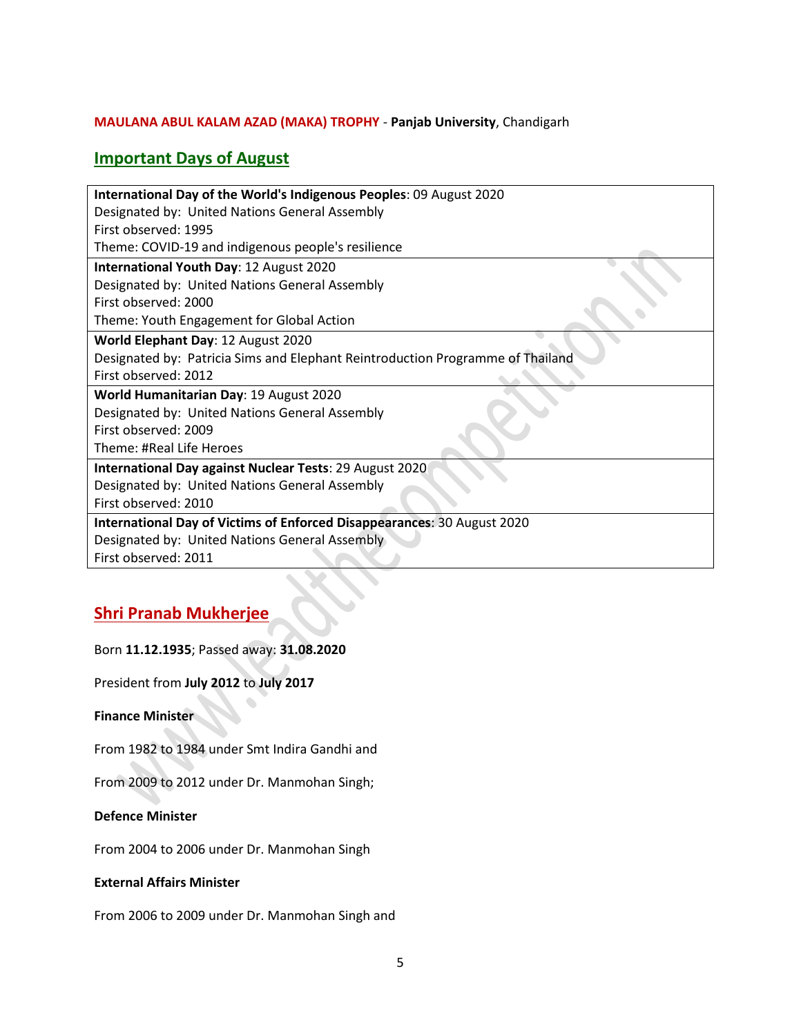## **MAULANA ABUL KALAM AZAD (MAKA) TROPHY** - **Panjab University**, Chandigarh

## **Important Days of August**

| International Day of the World's Indigenous Peoples: 09 August 2020            |
|--------------------------------------------------------------------------------|
| Designated by: United Nations General Assembly                                 |
| First observed: 1995                                                           |
| Theme: COVID-19 and indigenous people's resilience                             |
| International Youth Day: 12 August 2020                                        |
| Designated by: United Nations General Assembly                                 |
| First observed: 2000                                                           |
| Theme: Youth Engagement for Global Action                                      |
| World Elephant Day: 12 August 2020                                             |
| Designated by: Patricia Sims and Elephant Reintroduction Programme of Thailand |
| First observed: 2012                                                           |
| World Humanitarian Day: 19 August 2020                                         |
| Designated by: United Nations General Assembly                                 |
| First observed: 2009                                                           |
| Theme: #Real Life Heroes                                                       |
| <b>International Day against Nuclear Tests: 29 August 2020</b>                 |
| Designated by: United Nations General Assembly                                 |
| First observed: 2010                                                           |
| International Day of Victims of Enforced Disappearances: 30 August 2020        |
| Designated by: United Nations General Assembly                                 |
| First observed: 2011                                                           |

## **Shri Pranab Mukherjee**

## Born **11.12.1935**; Passed away: **31.08.2020**

President from **July 2012** to **July 2017**

## **Finance Minister**

From 1982 to 1984 under Smt Indira Gandhi and

From 2009 to 2012 under Dr. Manmohan Singh;

#### **Defence Minister**

From 2004 to 2006 under Dr. Manmohan Singh

## **External Affairs Minister**

From 2006 to 2009 under Dr. Manmohan Singh and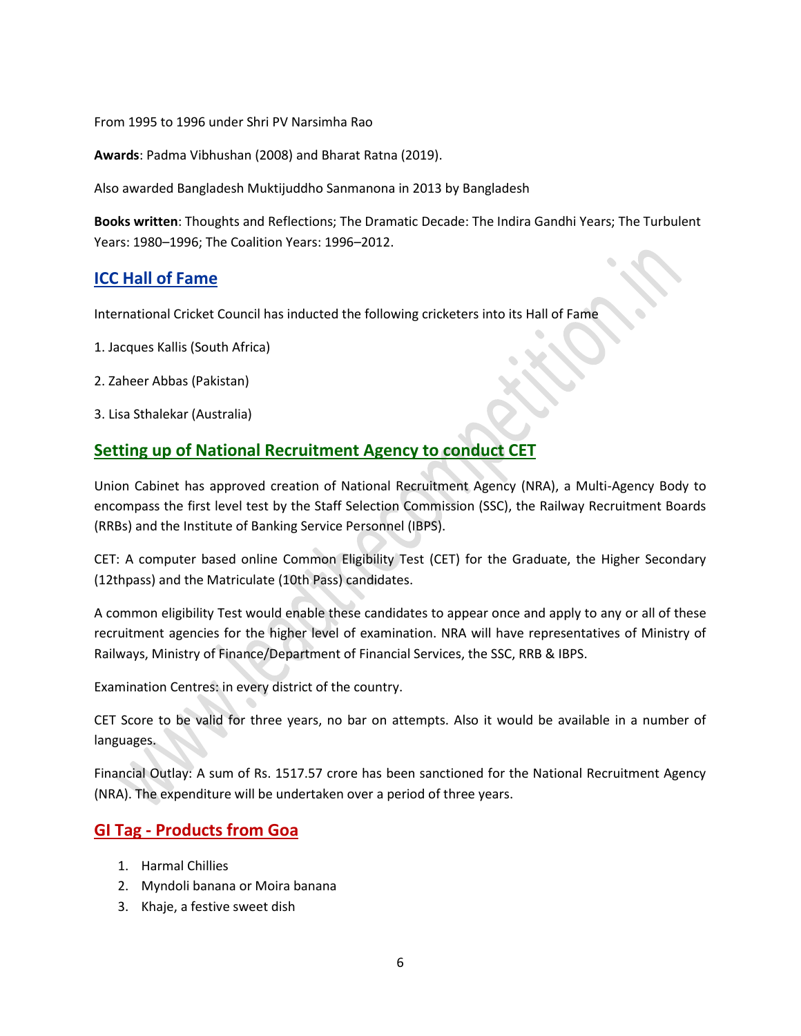From 1995 to 1996 under Shri PV Narsimha Rao

**Awards**: Padma Vibhushan (2008) and Bharat Ratna (2019).

Also awarded Bangladesh Muktijuddho Sanmanona in 2013 by Bangladesh

**Books written**: Thoughts and Reflections; The Dramatic Decade: The Indira Gandhi Years; The Turbulent Years: 1980–1996; The Coalition Years: 1996–2012.

## **ICC Hall of Fame**

International Cricket Council has inducted the following cricketers into its Hall of Fame

- 1. Jacques Kallis (South Africa)
- 2. Zaheer Abbas (Pakistan)
- 3. Lisa Sthalekar (Australia)

## **Setting up of National Recruitment Agency to conduct CET**

Union Cabinet has approved creation of National Recruitment Agency (NRA), a Multi-Agency Body to encompass the first level test by the Staff Selection Commission (SSC), the Railway Recruitment Boards (RRBs) and the Institute of Banking Service Personnel (IBPS).

CET: A computer based online Common Eligibility Test (CET) for the Graduate, the Higher Secondary (12thpass) and the Matriculate (10th Pass) candidates.

A common eligibility Test would enable these candidates to appear once and apply to any or all of these recruitment agencies for the higher level of examination. NRA will have representatives of Ministry of Railways, Ministry of Finance/Department of Financial Services, the SSC, RRB & IBPS.

Examination Centres: in every district of the country.

CET Score to be valid for three years, no bar on attempts. Also it would be available in a number of languages.

Financial Outlay: A sum of Rs. 1517.57 crore has been sanctioned for the National Recruitment Agency (NRA). The expenditure will be undertaken over a period of three years.

## **GI Tag - Products from Goa**

- 1. Harmal Chillies
- 2. Myndoli banana or Moira banana
- 3. Khaje, a festive sweet dish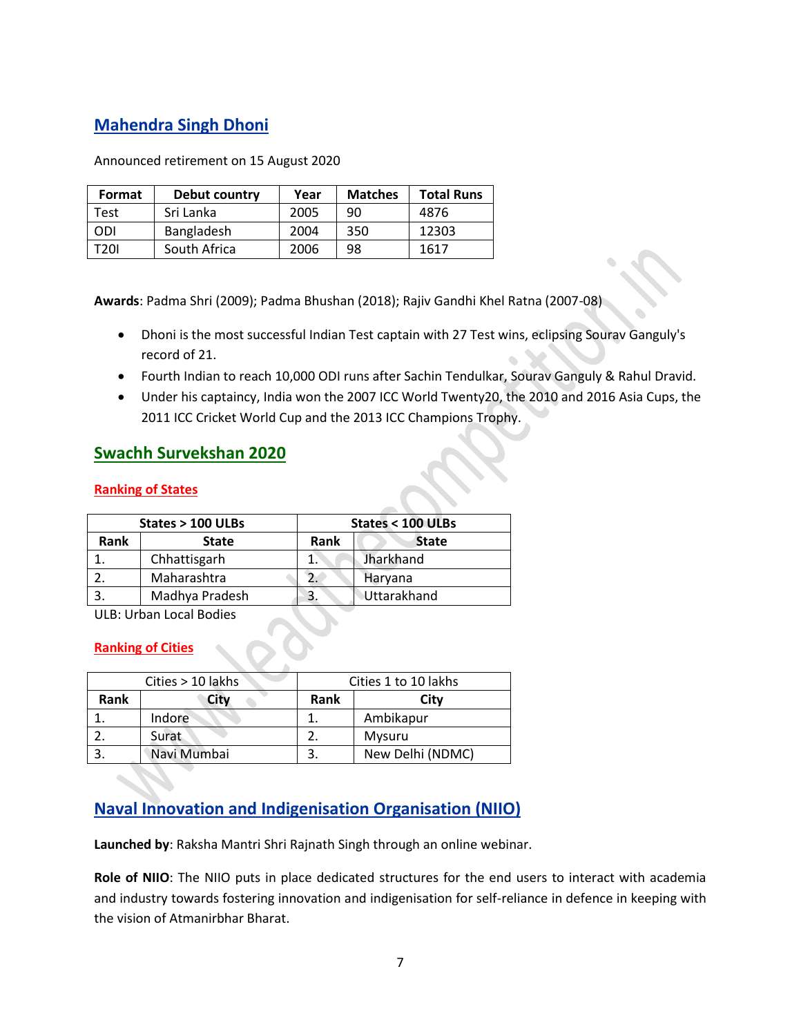# **Mahendra Singh Dhoni**

Announced retirement on 15 August 2020

| Format     | Debut country | Year | <b>Matches</b> | <b>Total Runs</b> |
|------------|---------------|------|----------------|-------------------|
| Test       | Sri Lanka     | 2005 | 90             | 4876              |
| <b>ODI</b> | Bangladesh    | 2004 | 350            | 12303             |
| T20I       | South Africa  | 2006 | 98             | 1617              |

**Awards**: Padma Shri (2009); Padma Bhushan (2018); Rajiv Gandhi Khel Ratna (2007-08)

- Dhoni is the most successful Indian Test captain with 27 Test wins, eclipsing Sourav Ganguly's record of 21.
- Fourth Indian to reach 10,000 ODI runs after Sachin Tendulkar, Sourav Ganguly & Rahul Dravid.
- Under his captaincy, India won the 2007 ICC World Twenty20, the 2010 and 2016 Asia Cups, the 2011 ICC Cricket World Cup and the 2013 ICC Champions Trophy.

## **Swachh Survekshan 2020**

## **Ranking of States**

|      | States > 100 ULBs | States < 100 ULBs |                    |  |
|------|-------------------|-------------------|--------------------|--|
| Rank | <b>State</b>      | Rank              | <b>State</b>       |  |
|      | Chhattisgarh      |                   | Jharkhand          |  |
|      | Maharashtra       |                   | Haryana            |  |
|      | Madhya Pradesh    | 3.                | <b>Uttarakhand</b> |  |

ULB: Urban Local Bodies

## **Ranking of Cities**

|      | Cities > 10 lakhs | Cities 1 to 10 lakhs |                  |  |
|------|-------------------|----------------------|------------------|--|
| Rank | City              | <b>Rank</b>          | Citv             |  |
|      | Indore            |                      | Ambikapur        |  |
|      | Surat             |                      | Mysuru           |  |
|      | Navi Mumbai       |                      | New Delhi (NDMC) |  |

# **Naval Innovation and Indigenisation Organisation (NIIO)**

**Launched by**: Raksha Mantri Shri Rajnath Singh through an online webinar.

**Role of NIIO**: The NIIO puts in place dedicated structures for the end users to interact with academia and industry towards fostering innovation and indigenisation for self-reliance in defence in keeping with the vision of Atmanirbhar Bharat.